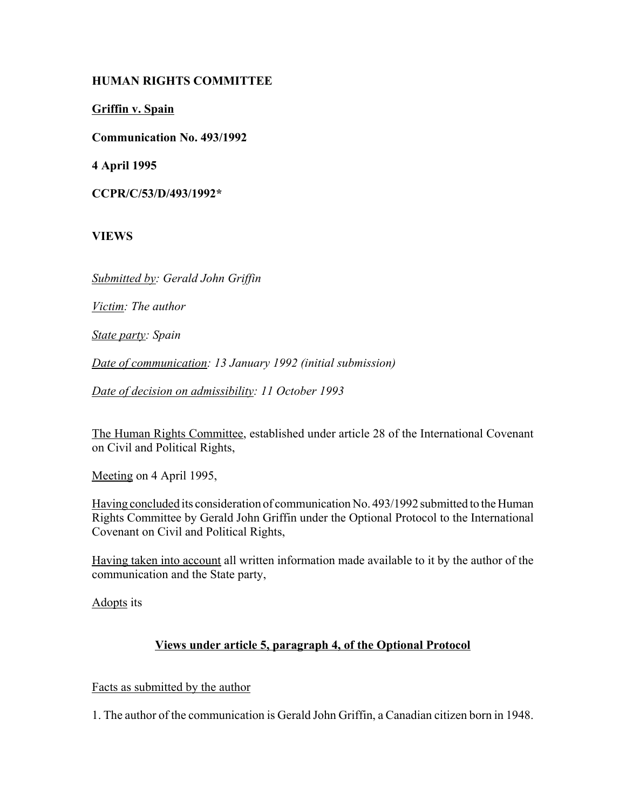## **HUMAN RIGHTS COMMITTEE**

**Griffin v. Spain**

**Communication No. 493/1992**

**4 April 1995**

**CCPR/C/53/D/493/1992\***

**VIEWS**

*Submitted by: Gerald John Griffin*

*Victim: The author*

*State party: Spain*

*Date of communication: 13 January 1992 (initial submission)*

*Date of decision on admissibility: 11 October 1993*

The Human Rights Committee, established under article 28 of the International Covenant on Civil and Political Rights,

Meeting on 4 April 1995,

Having concluded its consideration of communication No. 493/1992 submitted to the Human Rights Committee by Gerald John Griffin under the Optional Protocol to the International Covenant on Civil and Political Rights,

Having taken into account all written information made available to it by the author of the communication and the State party,

Adopts its

# **Views under article 5, paragraph 4, of the Optional Protocol**

Facts as submitted by the author

1. The author of the communication is Gerald John Griffin, a Canadian citizen born in 1948.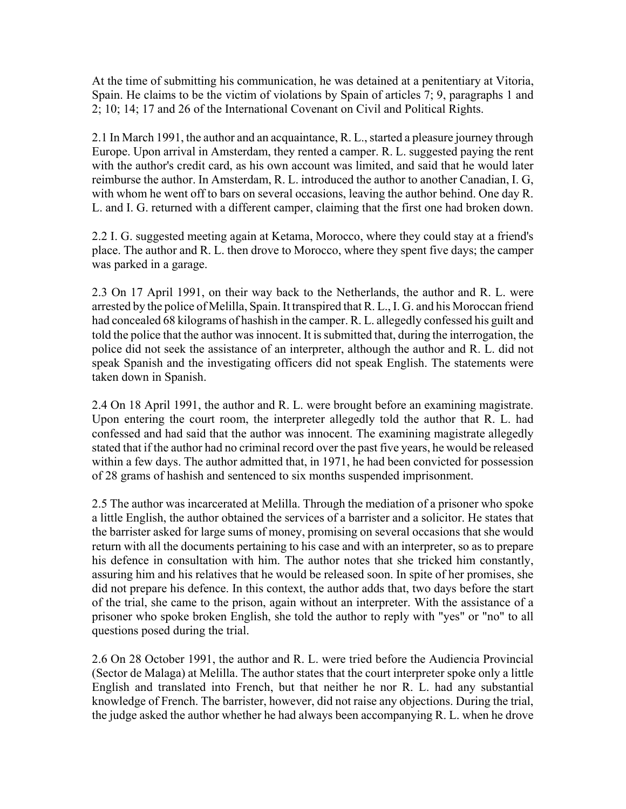At the time of submitting his communication, he was detained at a penitentiary at Vitoria, Spain. He claims to be the victim of violations by Spain of articles 7; 9, paragraphs 1 and 2; 10; 14; 17 and 26 of the International Covenant on Civil and Political Rights.

2.1 In March 1991, the author and an acquaintance, R. L., started a pleasure journey through Europe. Upon arrival in Amsterdam, they rented a camper. R. L. suggested paying the rent with the author's credit card, as his own account was limited, and said that he would later reimburse the author. In Amsterdam, R. L. introduced the author to another Canadian, I. G, with whom he went off to bars on several occasions, leaving the author behind. One day R. L. and I. G. returned with a different camper, claiming that the first one had broken down.

2.2 I. G. suggested meeting again at Ketama, Morocco, where they could stay at a friend's place. The author and R. L. then drove to Morocco, where they spent five days; the camper was parked in a garage.

2.3 On 17 April 1991, on their way back to the Netherlands, the author and R. L. were arrested by the police of Melilla, Spain. It transpired that R. L., I. G. and his Moroccan friend had concealed 68 kilograms of hashish in the camper. R. L. allegedly confessed his guilt and told the police that the author was innocent. It is submitted that, during the interrogation, the police did not seek the assistance of an interpreter, although the author and R. L. did not speak Spanish and the investigating officers did not speak English. The statements were taken down in Spanish.

2.4 On 18 April 1991, the author and R. L. were brought before an examining magistrate. Upon entering the court room, the interpreter allegedly told the author that R. L. had confessed and had said that the author was innocent. The examining magistrate allegedly stated that if the author had no criminal record over the past five years, he would be released within a few days. The author admitted that, in 1971, he had been convicted for possession of 28 grams of hashish and sentenced to six months suspended imprisonment.

2.5 The author was incarcerated at Melilla. Through the mediation of a prisoner who spoke a little English, the author obtained the services of a barrister and a solicitor. He states that the barrister asked for large sums of money, promising on several occasions that she would return with all the documents pertaining to his case and with an interpreter, so as to prepare his defence in consultation with him. The author notes that she tricked him constantly, assuring him and his relatives that he would be released soon. In spite of her promises, she did not prepare his defence. In this context, the author adds that, two days before the start of the trial, she came to the prison, again without an interpreter. With the assistance of a prisoner who spoke broken English, she told the author to reply with "yes" or "no" to all questions posed during the trial.

2.6 On 28 October 1991, the author and R. L. were tried before the Audiencia Provincial (Sector de Malaga) at Melilla. The author states that the court interpreter spoke only a little English and translated into French, but that neither he nor R. L. had any substantial knowledge of French. The barrister, however, did not raise any objections. During the trial, the judge asked the author whether he had always been accompanying R. L. when he drove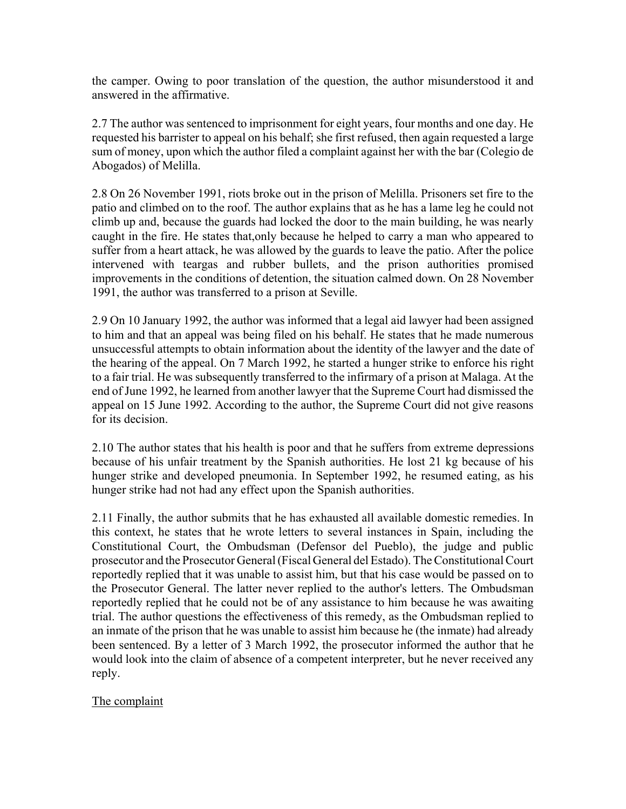the camper. Owing to poor translation of the question, the author misunderstood it and answered in the affirmative.

2.7 The author was sentenced to imprisonment for eight years, four months and one day. He requested his barrister to appeal on his behalf; she first refused, then again requested a large sum of money, upon which the author filed a complaint against her with the bar (Colegio de Abogados) of Melilla.

2.8 On 26 November 1991, riots broke out in the prison of Melilla. Prisoners set fire to the patio and climbed on to the roof. The author explains that as he has a lame leg he could not climb up and, because the guards had locked the door to the main building, he was nearly caught in the fire. He states that,only because he helped to carry a man who appeared to suffer from a heart attack, he was allowed by the guards to leave the patio. After the police intervened with teargas and rubber bullets, and the prison authorities promised improvements in the conditions of detention, the situation calmed down. On 28 November 1991, the author was transferred to a prison at Seville.

2.9 On 10 January 1992, the author was informed that a legal aid lawyer had been assigned to him and that an appeal was being filed on his behalf. He states that he made numerous unsuccessful attempts to obtain information about the identity of the lawyer and the date of the hearing of the appeal. On 7 March 1992, he started a hunger strike to enforce his right to a fair trial. He was subsequently transferred to the infirmary of a prison at Malaga. At the end of June 1992, he learned from another lawyer that the Supreme Court had dismissed the appeal on 15 June 1992. According to the author, the Supreme Court did not give reasons for its decision.

2.10 The author states that his health is poor and that he suffers from extreme depressions because of his unfair treatment by the Spanish authorities. He lost 21 kg because of his hunger strike and developed pneumonia. In September 1992, he resumed eating, as his hunger strike had not had any effect upon the Spanish authorities.

2.11 Finally, the author submits that he has exhausted all available domestic remedies. In this context, he states that he wrote letters to several instances in Spain, including the Constitutional Court, the Ombudsman (Defensor del Pueblo), the judge and public prosecutor and the Prosecutor General (Fiscal General del Estado). The Constitutional Court reportedly replied that it was unable to assist him, but that his case would be passed on to the Prosecutor General. The latter never replied to the author's letters. The Ombudsman reportedly replied that he could not be of any assistance to him because he was awaiting trial. The author questions the effectiveness of this remedy, as the Ombudsman replied to an inmate of the prison that he was unable to assist him because he (the inmate) had already been sentenced. By a letter of 3 March 1992, the prosecutor informed the author that he would look into the claim of absence of a competent interpreter, but he never received any reply.

The complaint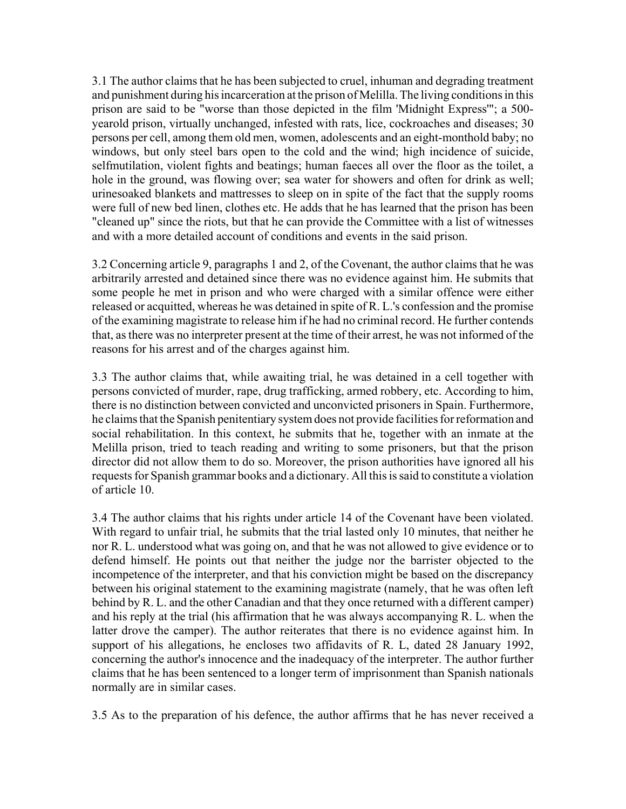3.1 The author claims that he has been subjected to cruel, inhuman and degrading treatment and punishment during his incarceration at the prison of Melilla. The living conditions in this prison are said to be "worse than those depicted in the film 'Midnight Express'"; a 500 yearold prison, virtually unchanged, infested with rats, lice, cockroaches and diseases; 30 persons per cell, among them old men, women, adolescents and an eight-monthold baby; no windows, but only steel bars open to the cold and the wind; high incidence of suicide, selfmutilation, violent fights and beatings; human faeces all over the floor as the toilet, a hole in the ground, was flowing over; sea water for showers and often for drink as well; urinesoaked blankets and mattresses to sleep on in spite of the fact that the supply rooms were full of new bed linen, clothes etc. He adds that he has learned that the prison has been "cleaned up" since the riots, but that he can provide the Committee with a list of witnesses and with a more detailed account of conditions and events in the said prison.

3.2 Concerning article 9, paragraphs 1 and 2, of the Covenant, the author claims that he was arbitrarily arrested and detained since there was no evidence against him. He submits that some people he met in prison and who were charged with a similar offence were either released or acquitted, whereas he was detained in spite of R. L.'s confession and the promise of the examining magistrate to release him if he had no criminal record. He further contends that, as there was no interpreter present at the time of their arrest, he was not informed of the reasons for his arrest and of the charges against him.

3.3 The author claims that, while awaiting trial, he was detained in a cell together with persons convicted of murder, rape, drug trafficking, armed robbery, etc. According to him, there is no distinction between convicted and unconvicted prisoners in Spain. Furthermore, he claims that the Spanish penitentiary system does not provide facilities for reformation and social rehabilitation. In this context, he submits that he, together with an inmate at the Melilla prison, tried to teach reading and writing to some prisoners, but that the prison director did not allow them to do so. Moreover, the prison authorities have ignored all his requests for Spanish grammar books and a dictionary. All this is said to constitute a violation of article 10.

3.4 The author claims that his rights under article 14 of the Covenant have been violated. With regard to unfair trial, he submits that the trial lasted only 10 minutes, that neither he nor R. L. understood what was going on, and that he was not allowed to give evidence or to defend himself. He points out that neither the judge nor the barrister objected to the incompetence of the interpreter, and that his conviction might be based on the discrepancy between his original statement to the examining magistrate (namely, that he was often left behind by R. L. and the other Canadian and that they once returned with a different camper) and his reply at the trial (his affirmation that he was always accompanying R. L. when the latter drove the camper). The author reiterates that there is no evidence against him. In support of his allegations, he encloses two affidavits of R. L, dated 28 January 1992, concerning the author's innocence and the inadequacy of the interpreter. The author further claims that he has been sentenced to a longer term of imprisonment than Spanish nationals normally are in similar cases.

3.5 As to the preparation of his defence, the author affirms that he has never received a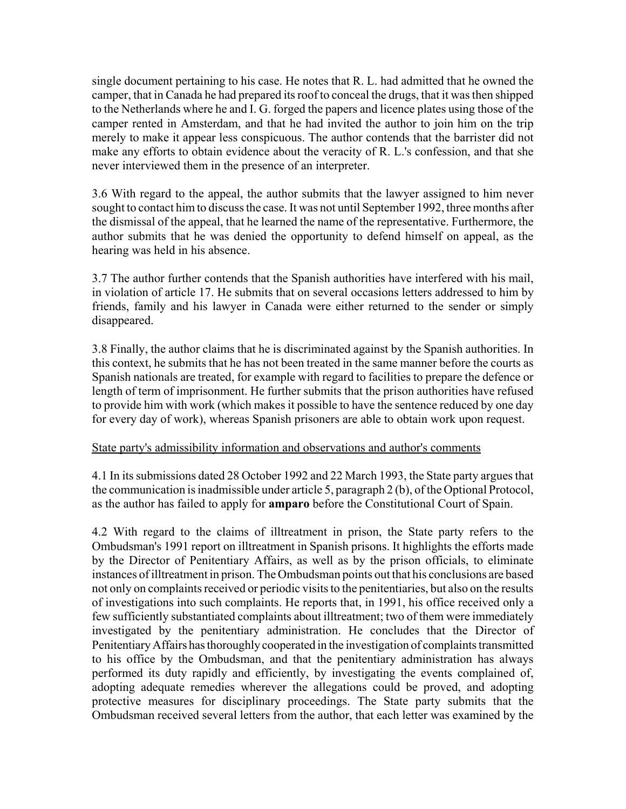single document pertaining to his case. He notes that R. L. had admitted that he owned the camper, that in Canada he had prepared its roof to conceal the drugs, that it was then shipped to the Netherlands where he and I. G. forged the papers and licence plates using those of the camper rented in Amsterdam, and that he had invited the author to join him on the trip merely to make it appear less conspicuous. The author contends that the barrister did not make any efforts to obtain evidence about the veracity of R. L.'s confession, and that she never interviewed them in the presence of an interpreter.

3.6 With regard to the appeal, the author submits that the lawyer assigned to him never sought to contact him to discuss the case. It was not until September 1992, three months after the dismissal of the appeal, that he learned the name of the representative. Furthermore, the author submits that he was denied the opportunity to defend himself on appeal, as the hearing was held in his absence.

3.7 The author further contends that the Spanish authorities have interfered with his mail, in violation of article 17. He submits that on several occasions letters addressed to him by friends, family and his lawyer in Canada were either returned to the sender or simply disappeared.

3.8 Finally, the author claims that he is discriminated against by the Spanish authorities. In this context, he submits that he has not been treated in the same manner before the courts as Spanish nationals are treated, for example with regard to facilities to prepare the defence or length of term of imprisonment. He further submits that the prison authorities have refused to provide him with work (which makes it possible to have the sentence reduced by one day for every day of work), whereas Spanish prisoners are able to obtain work upon request.

#### State party's admissibility information and observations and author's comments

4.1 In its submissions dated 28 October 1992 and 22 March 1993, the State party argues that the communication is inadmissible under article 5, paragraph 2 (b), of the Optional Protocol, as the author has failed to apply for **amparo** before the Constitutional Court of Spain.

4.2 With regard to the claims of illtreatment in prison, the State party refers to the Ombudsman's 1991 report on illtreatment in Spanish prisons. It highlights the efforts made by the Director of Penitentiary Affairs, as well as by the prison officials, to eliminate instances of illtreatment in prison. The Ombudsman points out that his conclusions are based not only on complaints received or periodic visits to the penitentiaries, but also on the results of investigations into such complaints. He reports that, in 1991, his office received only a few sufficiently substantiated complaints about illtreatment; two of them were immediately investigated by the penitentiary administration. He concludes that the Director of Penitentiary Affairs has thoroughly cooperated in the investigation of complaints transmitted to his office by the Ombudsman, and that the penitentiary administration has always performed its duty rapidly and efficiently, by investigating the events complained of, adopting adequate remedies wherever the allegations could be proved, and adopting protective measures for disciplinary proceedings. The State party submits that the Ombudsman received several letters from the author, that each letter was examined by the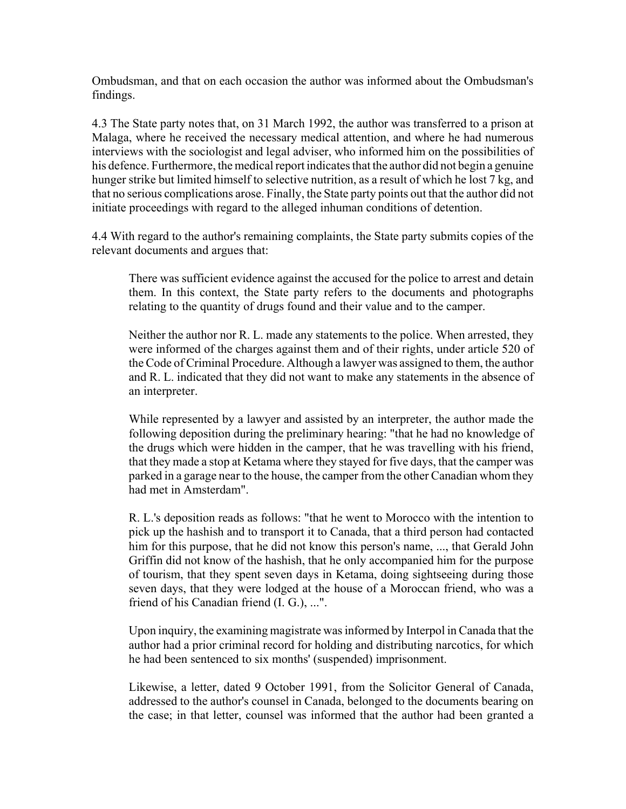Ombudsman, and that on each occasion the author was informed about the Ombudsman's findings.

4.3 The State party notes that, on 31 March 1992, the author was transferred to a prison at Malaga, where he received the necessary medical attention, and where he had numerous interviews with the sociologist and legal adviser, who informed him on the possibilities of his defence. Furthermore, the medical report indicates that the author did not begin a genuine hunger strike but limited himself to selective nutrition, as a result of which he lost 7 kg, and that no serious complications arose. Finally, the State party points out that the author did not initiate proceedings with regard to the alleged inhuman conditions of detention.

4.4 With regard to the author's remaining complaints, the State party submits copies of the relevant documents and argues that:

There was sufficient evidence against the accused for the police to arrest and detain them. In this context, the State party refers to the documents and photographs relating to the quantity of drugs found and their value and to the camper.

Neither the author nor R. L. made any statements to the police. When arrested, they were informed of the charges against them and of their rights, under article 520 of the Code of Criminal Procedure. Although a lawyer was assigned to them, the author and R. L. indicated that they did not want to make any statements in the absence of an interpreter.

While represented by a lawyer and assisted by an interpreter, the author made the following deposition during the preliminary hearing: "that he had no knowledge of the drugs which were hidden in the camper, that he was travelling with his friend, that they made a stop at Ketama where they stayed for five days, that the camper was parked in a garage near to the house, the camper from the other Canadian whom they had met in Amsterdam".

R. L.'s deposition reads as follows: "that he went to Morocco with the intention to pick up the hashish and to transport it to Canada, that a third person had contacted him for this purpose, that he did not know this person's name, ..., that Gerald John Griffin did not know of the hashish, that he only accompanied him for the purpose of tourism, that they spent seven days in Ketama, doing sightseeing during those seven days, that they were lodged at the house of a Moroccan friend, who was a friend of his Canadian friend (I. G.), ...".

Upon inquiry, the examining magistrate was informed by Interpol in Canada that the author had a prior criminal record for holding and distributing narcotics, for which he had been sentenced to six months' (suspended) imprisonment.

Likewise, a letter, dated 9 October 1991, from the Solicitor General of Canada, addressed to the author's counsel in Canada, belonged to the documents bearing on the case; in that letter, counsel was informed that the author had been granted a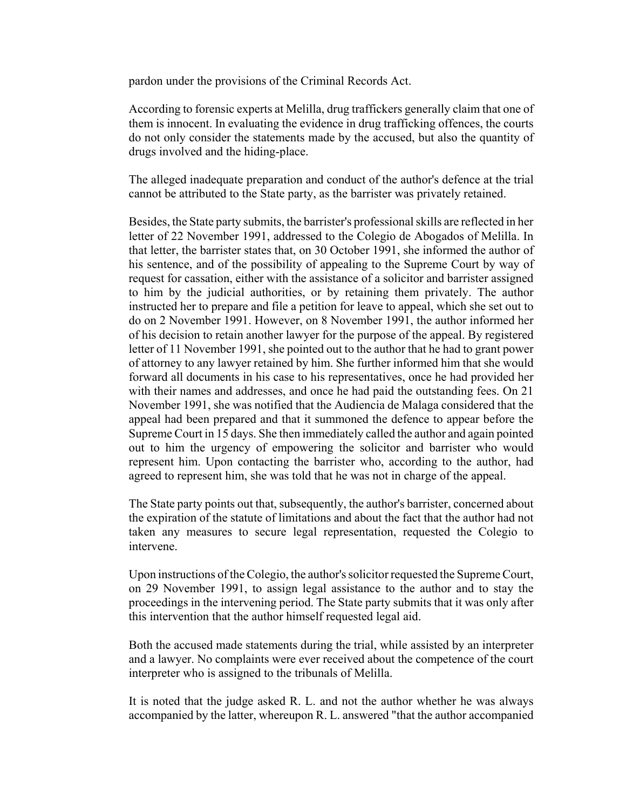pardon under the provisions of the Criminal Records Act.

According to forensic experts at Melilla, drug traffickers generally claim that one of them is innocent. In evaluating the evidence in drug trafficking offences, the courts do not only consider the statements made by the accused, but also the quantity of drugs involved and the hiding-place.

The alleged inadequate preparation and conduct of the author's defence at the trial cannot be attributed to the State party, as the barrister was privately retained.

Besides, the State party submits, the barrister's professional skills are reflected in her letter of 22 November 1991, addressed to the Colegio de Abogados of Melilla. In that letter, the barrister states that, on 30 October 1991, she informed the author of his sentence, and of the possibility of appealing to the Supreme Court by way of request for cassation, either with the assistance of a solicitor and barrister assigned to him by the judicial authorities, or by retaining them privately. The author instructed her to prepare and file a petition for leave to appeal, which she set out to do on 2 November 1991. However, on 8 November 1991, the author informed her of his decision to retain another lawyer for the purpose of the appeal. By registered letter of 11 November 1991, she pointed out to the author that he had to grant power of attorney to any lawyer retained by him. She further informed him that she would forward all documents in his case to his representatives, once he had provided her with their names and addresses, and once he had paid the outstanding fees. On 21 November 1991, she was notified that the Audiencia de Malaga considered that the appeal had been prepared and that it summoned the defence to appear before the Supreme Court in 15 days. She then immediately called the author and again pointed out to him the urgency of empowering the solicitor and barrister who would represent him. Upon contacting the barrister who, according to the author, had agreed to represent him, she was told that he was not in charge of the appeal.

The State party points out that, subsequently, the author's barrister, concerned about the expiration of the statute of limitations and about the fact that the author had not taken any measures to secure legal representation, requested the Colegio to intervene.

Upon instructions of the Colegio, the author's solicitor requested the Supreme Court, on 29 November 1991, to assign legal assistance to the author and to stay the proceedings in the intervening period. The State party submits that it was only after this intervention that the author himself requested legal aid.

Both the accused made statements during the trial, while assisted by an interpreter and a lawyer. No complaints were ever received about the competence of the court interpreter who is assigned to the tribunals of Melilla.

It is noted that the judge asked R. L. and not the author whether he was always accompanied by the latter, whereupon R. L. answered "that the author accompanied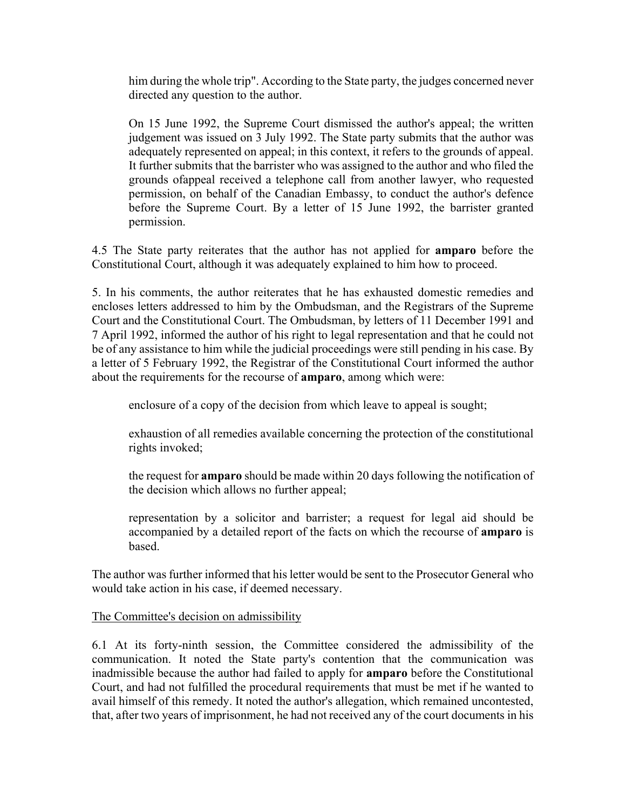him during the whole trip". According to the State party, the judges concerned never directed any question to the author.

On 15 June 1992, the Supreme Court dismissed the author's appeal; the written judgement was issued on 3 July 1992. The State party submits that the author was adequately represented on appeal; in this context, it refers to the grounds of appeal. It further submits that the barrister who was assigned to the author and who filed the grounds ofappeal received a telephone call from another lawyer, who requested permission, on behalf of the Canadian Embassy, to conduct the author's defence before the Supreme Court. By a letter of 15 June 1992, the barrister granted permission.

4.5 The State party reiterates that the author has not applied for **amparo** before the Constitutional Court, although it was adequately explained to him how to proceed.

5. In his comments, the author reiterates that he has exhausted domestic remedies and encloses letters addressed to him by the Ombudsman, and the Registrars of the Supreme Court and the Constitutional Court. The Ombudsman, by letters of 11 December 1991 and 7 April 1992, informed the author of his right to legal representation and that he could not be of any assistance to him while the judicial proceedings were still pending in his case. By a letter of 5 February 1992, the Registrar of the Constitutional Court informed the author about the requirements for the recourse of **amparo**, among which were:

enclosure of a copy of the decision from which leave to appeal is sought;

exhaustion of all remedies available concerning the protection of the constitutional rights invoked;

the request for **amparo** should be made within 20 days following the notification of the decision which allows no further appeal;

representation by a solicitor and barrister; a request for legal aid should be accompanied by a detailed report of the facts on which the recourse of **amparo** is based.

The author was further informed that his letter would be sent to the Prosecutor General who would take action in his case, if deemed necessary.

### The Committee's decision on admissibility

6.1 At its forty-ninth session, the Committee considered the admissibility of the communication. It noted the State party's contention that the communication was inadmissible because the author had failed to apply for **amparo** before the Constitutional Court, and had not fulfilled the procedural requirements that must be met if he wanted to avail himself of this remedy. It noted the author's allegation, which remained uncontested, that, after two years of imprisonment, he had not received any of the court documents in his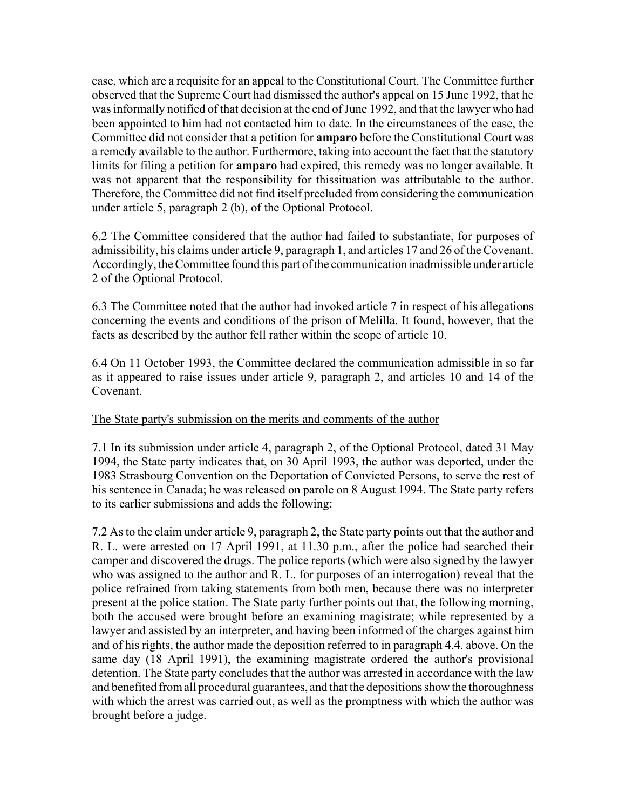case, which are a requisite for an appeal to the Constitutional Court. The Committee further observed that the Supreme Court had dismissed the author's appeal on 15 June 1992, that he was informally notified of that decision at the end of June 1992, and that the lawyer who had been appointed to him had not contacted him to date. In the circumstances of the case, the Committee did not consider that a petition for **amparo** before the Constitutional Court was a remedy available to the author. Furthermore, taking into account the fact that the statutory limits for filing a petition for **amparo** had expired, this remedy was no longer available. It was not apparent that the responsibility for thissituation was attributable to the author. Therefore, the Committee did not find itself precluded from considering the communication under article 5, paragraph 2 (b), of the Optional Protocol.

6.2 The Committee considered that the author had failed to substantiate, for purposes of admissibility, his claims under article 9, paragraph 1, and articles 17 and 26 of the Covenant. Accordingly, the Committee found this part of the communication inadmissible under article 2 of the Optional Protocol.

6.3 The Committee noted that the author had invoked article 7 in respect of his allegations concerning the events and conditions of the prison of Melilla. It found, however, that the facts as described by the author fell rather within the scope of article 10.

6.4 On 11 October 1993, the Committee declared the communication admissible in so far as it appeared to raise issues under article 9, paragraph 2, and articles 10 and 14 of the Covenant.

## The State party's submission on the merits and comments of the author

7.1 In its submission under article 4, paragraph 2, of the Optional Protocol, dated 31 May 1994, the State party indicates that, on 30 April 1993, the author was deported, under the 1983 Strasbourg Convention on the Deportation of Convicted Persons, to serve the rest of his sentence in Canada; he was released on parole on 8 August 1994. The State party refers to its earlier submissions and adds the following:

7.2 As to the claim under article 9, paragraph 2, the State party points out that the author and R. L. were arrested on 17 April 1991, at 11.30 p.m., after the police had searched their camper and discovered the drugs. The police reports (which were also signed by the lawyer who was assigned to the author and R. L. for purposes of an interrogation) reveal that the police refrained from taking statements from both men, because there was no interpreter present at the police station. The State party further points out that, the following morning, both the accused were brought before an examining magistrate; while represented by a lawyer and assisted by an interpreter, and having been informed of the charges against him and of his rights, the author made the deposition referred to in paragraph 4.4. above. On the same day (18 April 1991), the examining magistrate ordered the author's provisional detention. The State party concludes that the author was arrested in accordance with the law and benefited from all procedural guarantees, and that the depositions show the thoroughness with which the arrest was carried out, as well as the promptness with which the author was brought before a judge.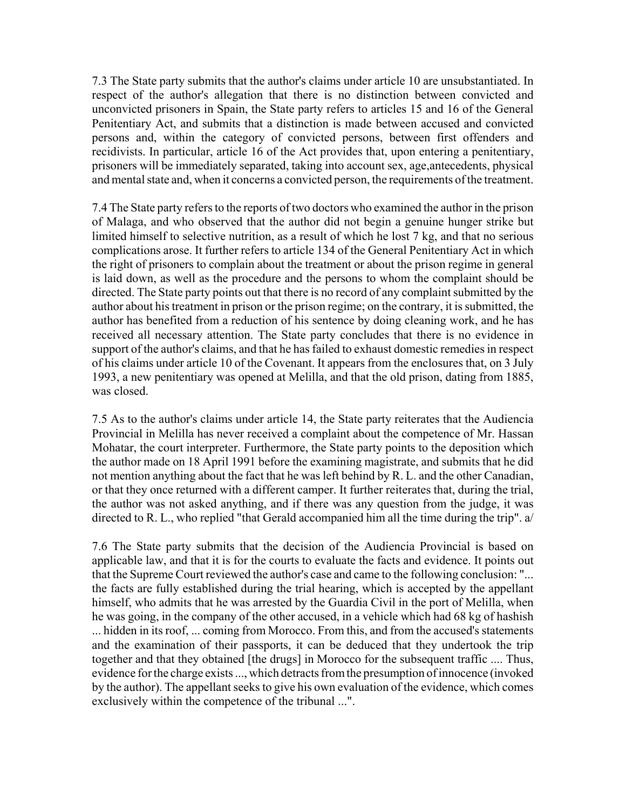7.3 The State party submits that the author's claims under article 10 are unsubstantiated. In respect of the author's allegation that there is no distinction between convicted and unconvicted prisoners in Spain, the State party refers to articles 15 and 16 of the General Penitentiary Act, and submits that a distinction is made between accused and convicted persons and, within the category of convicted persons, between first offenders and recidivists. In particular, article 16 of the Act provides that, upon entering a penitentiary, prisoners will be immediately separated, taking into account sex, age,antecedents, physical and mental state and, when it concerns a convicted person, the requirements of the treatment.

7.4 The State party refers to the reports of two doctors who examined the author in the prison of Malaga, and who observed that the author did not begin a genuine hunger strike but limited himself to selective nutrition, as a result of which he lost 7 kg, and that no serious complications arose. It further refers to article 134 of the General Penitentiary Act in which the right of prisoners to complain about the treatment or about the prison regime in general is laid down, as well as the procedure and the persons to whom the complaint should be directed. The State party points out that there is no record of any complaint submitted by the author about his treatment in prison or the prison regime; on the contrary, it is submitted, the author has benefited from a reduction of his sentence by doing cleaning work, and he has received all necessary attention. The State party concludes that there is no evidence in support of the author's claims, and that he has failed to exhaust domestic remedies in respect of his claims under article 10 of the Covenant. It appears from the enclosures that, on 3 July 1993, a new penitentiary was opened at Melilla, and that the old prison, dating from 1885, was closed.

7.5 As to the author's claims under article 14, the State party reiterates that the Audiencia Provincial in Melilla has never received a complaint about the competence of Mr. Hassan Mohatar, the court interpreter. Furthermore, the State party points to the deposition which the author made on 18 April 1991 before the examining magistrate, and submits that he did not mention anything about the fact that he was left behind by R. L. and the other Canadian, or that they once returned with a different camper. It further reiterates that, during the trial, the author was not asked anything, and if there was any question from the judge, it was directed to R. L., who replied "that Gerald accompanied him all the time during the trip". a/

7.6 The State party submits that the decision of the Audiencia Provincial is based on applicable law, and that it is for the courts to evaluate the facts and evidence. It points out that the Supreme Court reviewed the author's case and came to the following conclusion: "... the facts are fully established during the trial hearing, which is accepted by the appellant himself, who admits that he was arrested by the Guardia Civil in the port of Melilla, when he was going, in the company of the other accused, in a vehicle which had 68 kg of hashish ... hidden in its roof, ... coming from Morocco. From this, and from the accused's statements and the examination of their passports, it can be deduced that they undertook the trip together and that they obtained [the drugs] in Morocco for the subsequent traffic .... Thus, evidence for the charge exists ..., which detracts from the presumption of innocence (invoked by the author). The appellant seeks to give his own evaluation of the evidence, which comes exclusively within the competence of the tribunal ...".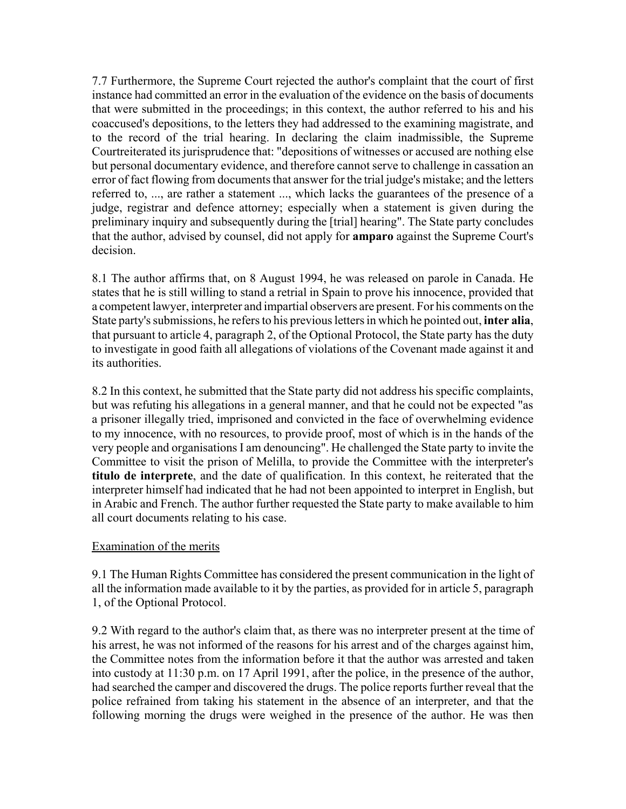7.7 Furthermore, the Supreme Court rejected the author's complaint that the court of first instance had committed an error in the evaluation of the evidence on the basis of documents that were submitted in the proceedings; in this context, the author referred to his and his coaccused's depositions, to the letters they had addressed to the examining magistrate, and to the record of the trial hearing. In declaring the claim inadmissible, the Supreme Courtreiterated its jurisprudence that: "depositions of witnesses or accused are nothing else but personal documentary evidence, and therefore cannot serve to challenge in cassation an error of fact flowing from documents that answer for the trial judge's mistake; and the letters referred to, ..., are rather a statement ..., which lacks the guarantees of the presence of a judge, registrar and defence attorney; especially when a statement is given during the preliminary inquiry and subsequently during the [trial] hearing". The State party concludes that the author, advised by counsel, did not apply for **amparo** against the Supreme Court's decision.

8.1 The author affirms that, on 8 August 1994, he was released on parole in Canada. He states that he is still willing to stand a retrial in Spain to prove his innocence, provided that a competent lawyer, interpreter and impartial observers are present. For his comments on the State party's submissions, he refers to his previous letters in which he pointed out, **inter alia**, that pursuant to article 4, paragraph 2, of the Optional Protocol, the State party has the duty to investigate in good faith all allegations of violations of the Covenant made against it and its authorities.

8.2 In this context, he submitted that the State party did not address his specific complaints, but was refuting his allegations in a general manner, and that he could not be expected "as a prisoner illegally tried, imprisoned and convicted in the face of overwhelming evidence to my innocence, with no resources, to provide proof, most of which is in the hands of the very people and organisations I am denouncing". He challenged the State party to invite the Committee to visit the prison of Melilla, to provide the Committee with the interpreter's **titulo de interprete**, and the date of qualification. In this context, he reiterated that the interpreter himself had indicated that he had not been appointed to interpret in English, but in Arabic and French. The author further requested the State party to make available to him all court documents relating to his case.

### Examination of the merits

9.1 The Human Rights Committee has considered the present communication in the light of all the information made available to it by the parties, as provided for in article 5, paragraph 1, of the Optional Protocol.

9.2 With regard to the author's claim that, as there was no interpreter present at the time of his arrest, he was not informed of the reasons for his arrest and of the charges against him, the Committee notes from the information before it that the author was arrested and taken into custody at 11:30 p.m. on 17 April 1991, after the police, in the presence of the author, had searched the camper and discovered the drugs. The police reports further reveal that the police refrained from taking his statement in the absence of an interpreter, and that the following morning the drugs were weighed in the presence of the author. He was then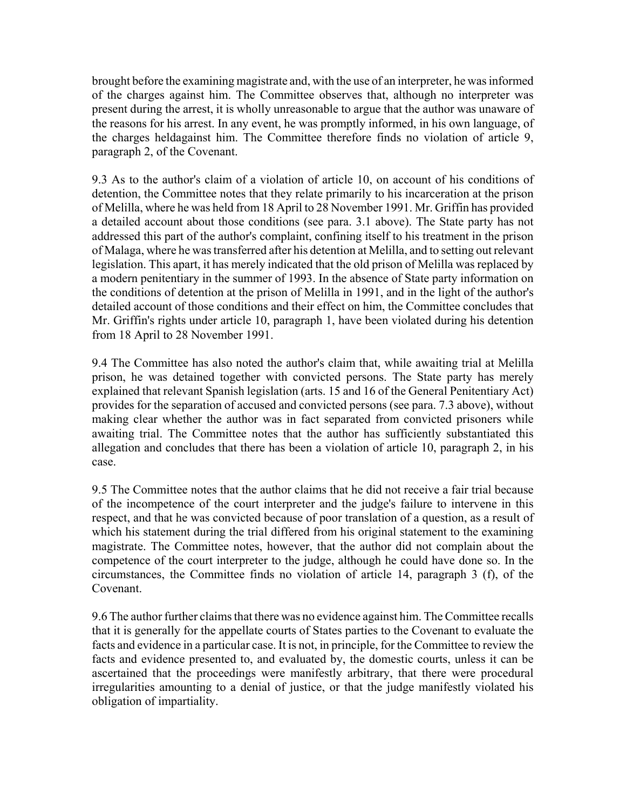brought before the examining magistrate and, with the use of an interpreter, he was informed of the charges against him. The Committee observes that, although no interpreter was present during the arrest, it is wholly unreasonable to argue that the author was unaware of the reasons for his arrest. In any event, he was promptly informed, in his own language, of the charges heldagainst him. The Committee therefore finds no violation of article 9, paragraph 2, of the Covenant.

9.3 As to the author's claim of a violation of article 10, on account of his conditions of detention, the Committee notes that they relate primarily to his incarceration at the prison of Melilla, where he was held from 18 April to 28 November 1991. Mr. Griffin has provided a detailed account about those conditions (see para. 3.1 above). The State party has not addressed this part of the author's complaint, confining itself to his treatment in the prison of Malaga, where he was transferred after his detention at Melilla, and to setting out relevant legislation. This apart, it has merely indicated that the old prison of Melilla was replaced by a modern penitentiary in the summer of 1993. In the absence of State party information on the conditions of detention at the prison of Melilla in 1991, and in the light of the author's detailed account of those conditions and their effect on him, the Committee concludes that Mr. Griffin's rights under article 10, paragraph 1, have been violated during his detention from 18 April to 28 November 1991.

9.4 The Committee has also noted the author's claim that, while awaiting trial at Melilla prison, he was detained together with convicted persons. The State party has merely explained that relevant Spanish legislation (arts. 15 and 16 of the General Penitentiary Act) provides for the separation of accused and convicted persons (see para. 7.3 above), without making clear whether the author was in fact separated from convicted prisoners while awaiting trial. The Committee notes that the author has sufficiently substantiated this allegation and concludes that there has been a violation of article 10, paragraph 2, in his case.

9.5 The Committee notes that the author claims that he did not receive a fair trial because of the incompetence of the court interpreter and the judge's failure to intervene in this respect, and that he was convicted because of poor translation of a question, as a result of which his statement during the trial differed from his original statement to the examining magistrate. The Committee notes, however, that the author did not complain about the competence of the court interpreter to the judge, although he could have done so. In the circumstances, the Committee finds no violation of article 14, paragraph 3 (f), of the Covenant.

9.6 The author further claims that there was no evidence against him. The Committee recalls that it is generally for the appellate courts of States parties to the Covenant to evaluate the facts and evidence in a particular case. It is not, in principle, for the Committee to review the facts and evidence presented to, and evaluated by, the domestic courts, unless it can be ascertained that the proceedings were manifestly arbitrary, that there were procedural irregularities amounting to a denial of justice, or that the judge manifestly violated his obligation of impartiality.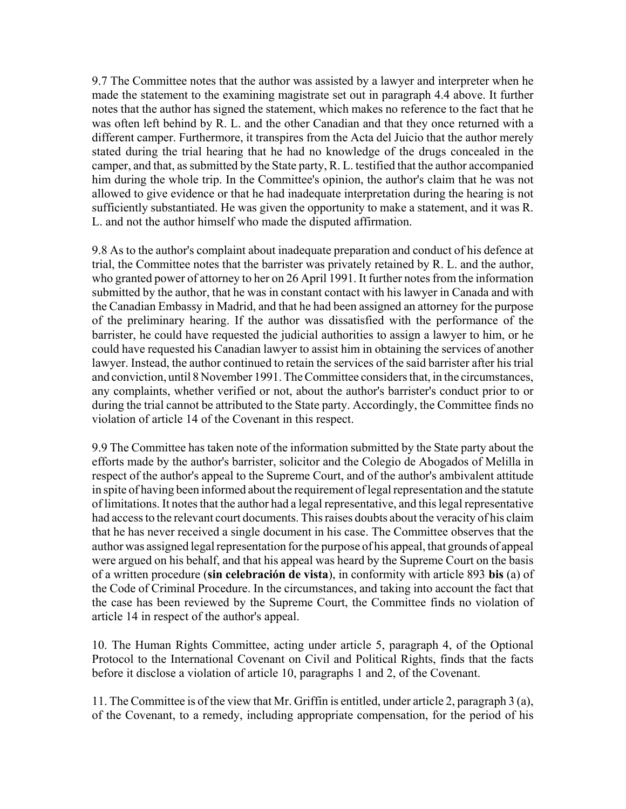9.7 The Committee notes that the author was assisted by a lawyer and interpreter when he made the statement to the examining magistrate set out in paragraph 4.4 above. It further notes that the author has signed the statement, which makes no reference to the fact that he was often left behind by R. L. and the other Canadian and that they once returned with a different camper. Furthermore, it transpires from the Acta del Juicio that the author merely stated during the trial hearing that he had no knowledge of the drugs concealed in the camper, and that, as submitted by the State party, R. L. testified that the author accompanied him during the whole trip. In the Committee's opinion, the author's claim that he was not allowed to give evidence or that he had inadequate interpretation during the hearing is not sufficiently substantiated. He was given the opportunity to make a statement, and it was R. L. and not the author himself who made the disputed affirmation.

9.8 As to the author's complaint about inadequate preparation and conduct of his defence at trial, the Committee notes that the barrister was privately retained by R. L. and the author, who granted power of attorney to her on 26 April 1991. It further notes from the information submitted by the author, that he was in constant contact with his lawyer in Canada and with the Canadian Embassy in Madrid, and that he had been assigned an attorney for the purpose of the preliminary hearing. If the author was dissatisfied with the performance of the barrister, he could have requested the judicial authorities to assign a lawyer to him, or he could have requested his Canadian lawyer to assist him in obtaining the services of another lawyer. Instead, the author continued to retain the services of the said barrister after his trial and conviction, until 8 November 1991. The Committee considers that, in the circumstances, any complaints, whether verified or not, about the author's barrister's conduct prior to or during the trial cannot be attributed to the State party. Accordingly, the Committee finds no violation of article 14 of the Covenant in this respect.

9.9 The Committee has taken note of the information submitted by the State party about the efforts made by the author's barrister, solicitor and the Colegio de Abogados of Melilla in respect of the author's appeal to the Supreme Court, and of the author's ambivalent attitude in spite of having been informed about the requirement of legal representation and the statute of limitations. It notes that the author had a legal representative, and this legal representative had access to the relevant court documents. This raises doubts about the veracity of his claim that he has never received a single document in his case. The Committee observes that the author was assigned legal representation for the purpose of his appeal, that grounds of appeal were argued on his behalf, and that his appeal was heard by the Supreme Court on the basis of a written procedure (sin celebración de vista), in conformity with article 893 bis (a) of the Code of Criminal Procedure. In the circumstances, and taking into account the fact that the case has been reviewed by the Supreme Court, the Committee finds no violation of article 14 in respect of the author's appeal.

10. The Human Rights Committee, acting under article 5, paragraph 4, of the Optional Protocol to the International Covenant on Civil and Political Rights, finds that the facts before it disclose a violation of article 10, paragraphs 1 and 2, of the Covenant.

11. The Committee is of the view that Mr. Griffin is entitled, under article 2, paragraph 3 (a), of the Covenant, to a remedy, including appropriate compensation, for the period of his